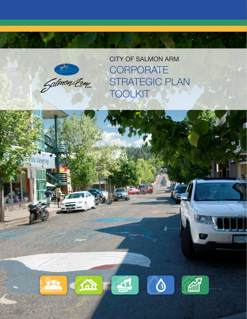

erelive Company

CITY OF SALMON ARM **CORPORATE** STRATEGIC PLAN **TOOLKIT** 

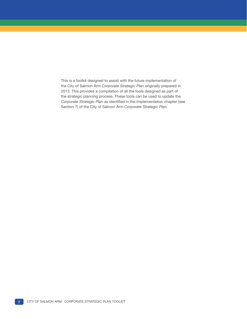This is a toolkit designed to assist with the future implementation of the City of Salmon Arm *Corporate Strategic Plan* originally prepared in 2013. This provides a compilation of all the tools designed as part of the strategic planning process. These tools can be used to update the *Corporate Strategic Plan* as identified in the Implementation chapter (see Section 7) of the City of Salmon Arm *Corporate Strategic Plan.*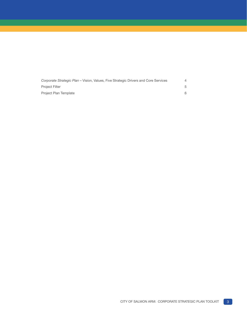| Corporate Strategic Plan – Vision, Values, Five Strategic Drivers and Core Services |  |
|-------------------------------------------------------------------------------------|--|
| <b>Project Filter</b>                                                               |  |
| Project Plan Template                                                               |  |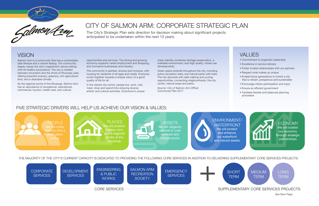Salmon Arm is a community that has a comfortable, safe lifestyle and a vibrant feeling. The community deeply values the city's magnificent natural setting with its healthy ecosystems. The city is nestled between mountains and the shore of Shuswap Lake, offering beautiful scenery, greenery, rich agricultural land, and a desirable climate.

As the regional centre of the Shuswap, Salmon Arm has an abundance of recreational, educational, commercial, tourism, health care, and cultural

## VALUES

The City's Strategic Plan sets direction for decision making about significant projects anticipated to be undertaken within the next 10 years.

## **VISION**

- Commitment to pragmatic leadership
- Excellence in service delivery
- Foster trusted relationships with our partners
- Respect what makes us unique
- Enable future generations to inherit a city that is vibrant, prosperous and sustainable
- Encourage citizen participation and input
- Ensure an efficient government
- Facilitate flexible and balanced planning processes





# CITY OF SALMON ARM: CORPORATE STRATEGIC PLAN

opportunities and services. The strong and growing economy supports varied employment and shopping, and innovative businesses and industry.

> **ECONOMY** We will bolster our economy through strategic partnerships.

The community is spirited, diverse and inclusive, with housing for residents of all ages and needs. Everyone works together towards a shared vision of a good quality of life for all.



In the vibrant city centre, people live, work, visit, meet, shop and spend time enjoying diverse artistic and cultural activities. Downtown's unique

### FIVE STRATEGIC DRIVERS WILL HELP US ACHIEVE OUR VISION & VALUES:

THE MAJORITY OF THE CITY'S CURRENT CAPACITY IS DEDICATED TO PROVIDING THE FOLLOWING CORE SERVICES IN ADDITION TO DELIVERING SUPPLEMENTARY CORE SERVICES PROJECTS:

urban identity combines heritage preservation, a walkable environment, and high quality, mixed-use developments.

Green space extends throughout the city, including active recreation sites, and natural parks with trails. The city abounds with safe walking and cycling opportunities, connecting neighourhoods, the city centre, natural areas and parks.

*Source: City of Salmon Arm Offical Community Plan 2011*



*See Next Page*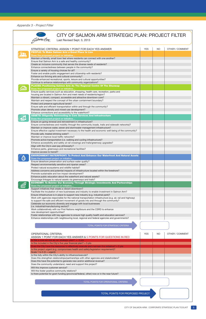|                                              |                                                                                                                                                                                   | <b>YES</b> | <b>NO</b> | OTHER / COMMENT |
|----------------------------------------------|-----------------------------------------------------------------------------------------------------------------------------------------------------------------------------------|------------|-----------|-----------------|
|                                              | STRATEGIC CRITERIA: ASSIGN 1 POINT FOR EACH YES ANSWER<br>PEOPLE: To Make Salmon Arm a Great Place to Live                                                                        |            |           |                 |
| Does the proposed project or initiative      |                                                                                                                                                                                   |            |           |                 |
|                                              | Maintain a friendly, small town feel where residents can connect with one another?                                                                                                |            |           |                 |
|                                              | Ensure that Salmon Arm is a safe and healthy community?                                                                                                                           |            |           |                 |
|                                              | Create an inclusive community that serves the diverse needs of residents?                                                                                                         |            |           |                 |
|                                              | Enhance connectedness between people in the community?                                                                                                                            |            |           |                 |
| Ensure a variety of housing choices for all? |                                                                                                                                                                                   |            |           |                 |
|                                              | Foster and enable public engagement and citizenship with residents?                                                                                                               |            |           |                 |
|                                              | Enhance our thriving arts and cultural community?<br>Provide enhanced recreational, sports, leisure and cultural opportunities?                                                   |            |           |                 |
|                                              | Continue to enhance relationships with community organizations?                                                                                                                   |            |           |                 |
|                                              | PLACES: Positioning Salmon Arm As The Regional Centre Of The Shuswap                                                                                                              |            |           |                 |
| Does the proposed project or initiative      |                                                                                                                                                                                   |            |           |                 |
|                                              | Ensure quality services such as education, shopping, health care, recreation, parks and                                                                                           |            |           |                 |
|                                              | housing are located in Salmon Arm and meet needs of residents/region?                                                                                                             |            |           |                 |
|                                              | Maintain a vibrant, compact, accessible and attractive downtown core?                                                                                                             |            |           |                 |
|                                              | Maintain and respect the concept of the urban containment boundary?                                                                                                               |            |           |                 |
| Protect and preserve agricultural lands?     |                                                                                                                                                                                   |            |           |                 |
|                                              | Ensure safe and efficient transportation within and through the community?                                                                                                        |            |           |                 |
|                                              | Promote urban density and mixed-use development?<br>Enhance connections and accessibility to the waterfront?                                                                      |            |           |                 |
|                                              | <b>ASSETS: Diligently Reinvesting In Core Services And Infrastructure</b>                                                                                                         |            |           |                 |
| Does the proposed project or initiative      |                                                                                                                                                                                   |            |           |                 |
|                                              | Ensure on-going renewal and reinvestment in infrastructure?                                                                                                                       |            |           |                 |
|                                              | Ensure connectedness and mobility through the community (roads, trails and sidewalk networks)?                                                                                    |            |           |                 |
|                                              | Maintain or improve water, sewer and stormwater management infrastructure?                                                                                                        |            |           |                 |
|                                              | Ensure effective capital investment necessary to the health and economic well-being of the community?                                                                             |            |           |                 |
| Provide safe, treated drinking water?        |                                                                                                                                                                                   |            |           |                 |
| Maintain or improve local traffic networks?  |                                                                                                                                                                                   |            |           |                 |
|                                              | Promote active transportation (i.e. walking and cycling infrastructure)?                                                                                                          |            |           |                 |
|                                              | Enhance accessibility and safety at rail crossings and trails/greenway upgrades?                                                                                                  |            |           |                 |
| Align with the City's user-pay philosophy?   | Enhance parks, greenways and recreational facilities?                                                                                                                             |            |           |                 |
| Improve access to transit?                   |                                                                                                                                                                                   |            |           |                 |
|                                              |                                                                                                                                                                                   |            |           |                 |
| Does the proposed project or initiative      | <b>ENVIRONMENT/WATERFRONT: To Protect And Enhance Our Waterfront And Natural Assets</b>                                                                                           |            |           |                 |
|                                              | Ensure lakeshore preservation and surface water quality?                                                                                                                          |            |           |                 |
|                                              | Respect environmentally sensitive and riparian areas?                                                                                                                             |            |           |                 |
|                                              | Protect natural ecosystems and wildlife habitat?                                                                                                                                  |            |           |                 |
|                                              | Address concerns and potential impacts of infrastructure located within the foreshore?                                                                                            |            |           |                 |
|                                              | Promote sustainable and low impact development?                                                                                                                                   |            |           |                 |
|                                              | Enhance public education about the waterfront and natural assets?                                                                                                                 |            |           |                 |
|                                              | Encourage linkages to natural assets via greenways and trails?                                                                                                                    |            |           |                 |
|                                              | <b>ECONOMY: To Bolster Our Economy Through Strategic Investments And Partnerships</b>                                                                                             |            |           |                 |
| Does the proposed project or initiative      |                                                                                                                                                                                   |            |           |                 |
|                                              | Support initiatives that create a vibrant downtown?                                                                                                                               |            |           |                 |
|                                              | Facilitate the incubation of new businesses and industry to enable investment in Salmon Arm?<br>Ensure infrastructure is in place to support new industry (e.g. industrial park)? |            |           |                 |
|                                              | Work with agencies responsible for the national transportation infrastructure (e.g. air, rail and highway)                                                                        |            |           |                 |
|                                              | to support the safe and efficient movement of goods into and through the community?                                                                                               |            |           |                 |
|                                              | Celebrate our economic diversity and engage with local businesses                                                                                                                 |            |           |                 |
| (i.e. industrial/manufacturing sector)?      |                                                                                                                                                                                   |            |           |                 |
|                                              | Work collaboratively with our First Nations neighbours and the CSRD to enhance                                                                                                    |            |           |                 |
| new development opportunities?               |                                                                                                                                                                                   |            |           |                 |
|                                              | Foster relationships with key agencies to ensure high quality health and education services?                                                                                      |            |           |                 |
|                                              | Enhance relationships with neighbouring local, regional and federal agencies and governments?                                                                                     |            |           |                 |
|                                              |                                                                                                                                                                                   |            |           |                 |

*Appendix 3 - Project Filter* 

| UL LIJAHUNAL VIIILIJA.<br>ASSIGN 1 POINT FOR EACH YES ANSWER & 5 POINTS FOR QUESTIONS IN RED                         |  |  |
|----------------------------------------------------------------------------------------------------------------------|--|--|
| Is this a core service as per strategic plan? = $5$ pts                                                              |  |  |
| Is this included in the City's five year financial plan? $=$ 5 pts                                                   |  |  |
| Does the City have the resources to effectively execute and maintain this initiative? $=$ 5 pts                      |  |  |
| Is this project urgent (e.g. compromises health and safety/legislation requirement)?<br>Scale 1 to 5 $(5 = $ urgent) |  |  |
| Is this fully within the City's ability to influence/execute?                                                        |  |  |
| Does this strengthen relationships/partnerships with other agencies and stakeholders?                                |  |  |
| Does this have the potential to generate new and/or additional revenue?                                              |  |  |
| Does the community understand, need and support this project?                                                        |  |  |
| Will this improve customer service?                                                                                  |  |  |
| Will this foster positive community relations?                                                                       |  |  |
| Is there potential for grant funding (provincial/federal, other) now or in the near future?                          |  |  |
|                                                                                                                      |  |  |
| TOTAL POINTS FOR OPERATIONAL CRITERIA                                                                                |  |  |
|                                                                                                                      |  |  |
| <b>TOTAL POINTS FOR PROPOSED PROJECT</b>                                                                             |  |  |
|                                                                                                                      |  |  |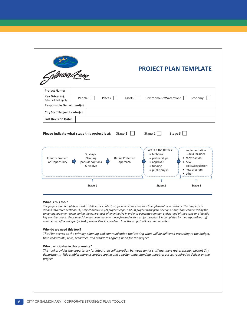| Galmon Lem                                |                                                                                                        | <b>PROJECT PLAN TEMPLATE</b>                                                   |                                                                       |
|-------------------------------------------|--------------------------------------------------------------------------------------------------------|--------------------------------------------------------------------------------|-----------------------------------------------------------------------|
| <b>Project Name:</b>                      |                                                                                                        |                                                                                |                                                                       |
| Key Driver (s):<br>Select all that apply  | People<br>Places                                                                                       | Environment/Waterfront  <br>Assets                                             | Economy                                                               |
| <b>Responsible Department(s)</b>          |                                                                                                        |                                                                                |                                                                       |
| <b>City Staff Project Leader(s):</b>      |                                                                                                        |                                                                                |                                                                       |
| <b>Last Revision Date:</b>                |                                                                                                        |                                                                                |                                                                       |
|                                           | Please indicate what stage this project is at:<br>Stage 1<br>Strategic<br>Planning<br>Define Preferred | Stage $2$<br>Stage 3<br>Sort Out the Details:<br>• technical<br>• partnerships | Implementation<br>Could Include:                                      |
| <b>Identify Problem</b><br>or Opportunity | (consider options<br>Approach<br>& resolve                                                             | • approvals<br>$\bullet$ funding<br>• public buy-in                            | • construction<br>$\bullet$ new<br>policy/regulation<br>• new program |

#### **What is this tool?**

*The project plan template is used to define the context, scope and actions required to implement new projects. The template is divided into three sections: (1) project overview, (2) project scope, and (3) project work plan. Sections 1 and 3 are completed by the senior management team during the early stages of an initiative in order to generate common understand of the scope and identify key considerations. Once a decision has been made to move forward with a project, section 3 is completed by the responsible staff member to define the specific tasks, who will be involved and how the project will be communicated.* 

#### **Why do we need this tool?**

*This Plan serves as the primary planning and communication tool stating what will be delivered according to the budget, time constraints, risks, resources, and standards agreed upon for the project.* 

#### **Who participates in this planning?**

*This tool provides the opportunity for integrated collaboration between senior staff members representing relevant City departments. This enables more accurate scoping and a better understanding about resources required to deliver on the project.*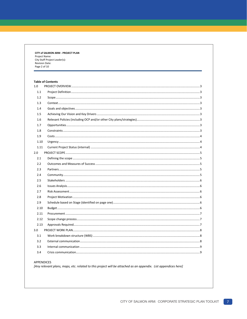CITY of SALMON ARM - PROJECT PLAN Project Name: City Staff Project Leader(s): Revision Date: Page 2 of 10

#### **Table of Contents**

| 1.0  |  |
|------|--|
| 1.1  |  |
| 1.2  |  |
| 1.3  |  |
| 1.4  |  |
| 1.5  |  |
| 1.6  |  |
| 1.7  |  |
| 1.8  |  |
| 1.9  |  |
| 1.10 |  |
| 1.11 |  |
| 2.0  |  |
| 2.1  |  |
| 2.2  |  |
| 2.3  |  |
| 2.4  |  |
| 2.5  |  |
| 2.6  |  |
| 2.7  |  |
| 2.8  |  |
| 2.9  |  |
| 2.10 |  |
| 2.11 |  |
| 2.12 |  |
| 2.13 |  |
| 3.0  |  |
| 3.1  |  |
| 3.2  |  |
| 3.3  |  |
| 3.4  |  |

#### APPENDICES

[Any relevant plans, maps, etc. related to this project will be attached as an appendix. List appendices here]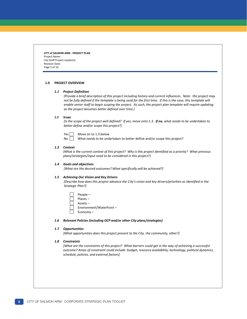**CITY of SALMON ARM - PROJECT PLAN** Project Name: City Staff Project Leader(s): Revision Date: Page 3 of 10

#### **1.0 PROJECT OVERVIEW**

#### *1.1 Project Definition*

*[Provide a brief description of this project including history and current influences. Note: the project may not be fully defined if the template is being used for the first time. If this is the case, this template will enable senior staff to begin scoping the project. As such, the project plan template will require updating as the project becomes better defined over time.]*

#### *1.2 Scope*

*[Is the scope of the project well defined? If yes, move onto 1.3. If no, what needs to be undertaken to better define and/or scope this project?]*

 $Yes \Box$  Move on to 1.3 below

No  $\Box$  What needs to be undertaken to better define and/or scope this project?

#### *1.3 Context*

*[What is the current context of this project? Why is this project identified as a priority? What previous plans/strategies/input need to be considered in this project?]*

#### *1.4 Goals and objectives*

*[What are the desired outcomes? What specifically will be achieved?]*

#### *1.5 Achieving Our Vision and Key Drivers*

*[Describe how does this project advance the City's vision and key drivers/priorities as identified in the Strategic Plan?]* 

| People –                |
|-------------------------|
| $Places -$              |
| $Assets -$              |
| Environment/Waterfront- |
| Economy-                |

#### *1.6 Relevant Policies (including OCP and/or other City plans/strategies)*

#### *1.7 Opportunities*

*[What opportunities does this project present to the City, the community, other?]*

#### *1.8 Constraints*

*[What are the constraints of this project? What barriers could get in the way of achieving a successful outcome? Areas of constraint could include: budget, resource availability, technology, political dynamics, schedule, policies, and external factors]*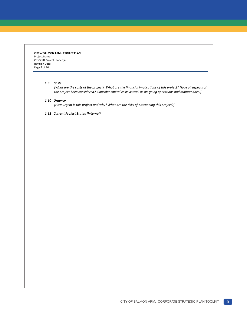**CITY of SALMON ARM - PROJECT PLAN** Project Name: City Staff Project Leader(s): Revision Date: Page 4 of 10

#### *1.9 Costs*

*[What are the costs of the project? What are the financial implications of this project? Have all aspects of the project been considered? Consider capital costs as well as on-going operations and maintenance.]* 

#### *1.10 Urgency*

*[How urgent is this project and why? What are the risks of postponing this project?]*

*1.11 Current Project Status (internal)*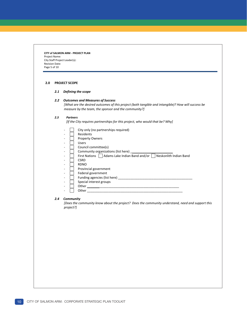**CITY of SALMON ARM - PROJECT PLAN** Project Name: City Staff Project Leader(s): Revision Date: Page 5 of 10

#### **2.0 PROJECT SCOPE**

#### *2.1 Defining the scope*

#### *2.2 Outcomes and Measures of Success*

*[What are the desired outcomes of this project (both tangible and intangible)? How will success be measure by the team, the sponsor and the community?]*

#### *2.3 Partners*

*[If the City requires partnerships for this project, who would that be? Why]*

|                              | City only (no partnerships required)                                   |
|------------------------------|------------------------------------------------------------------------|
| ۰                            | Residents                                                              |
| ۰                            | <b>Property Owners</b>                                                 |
| -                            | Users                                                                  |
| $\qquad \qquad \blacksquare$ | Council committee(s)                                                   |
| -                            | Community organizations (list here)                                    |
| ۰                            | First Nations   Adams Lake Indian Band and/or   Neskonlith Indian Band |
|                              | <b>CSRD</b>                                                            |
| ۰                            | <b>RDNO</b>                                                            |
|                              | Provincial government                                                  |
| ۰                            | Federal government                                                     |
| -                            | Funding agencies (list here)                                           |
| ۰                            | Special interest groups                                                |
| ۰                            | Other                                                                  |
| ۰                            | Other                                                                  |

#### *2.4 Community*

*[Does the community know about the project? Does the community understand, need and support this project?]*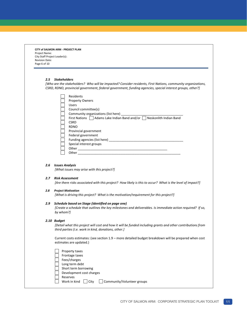| CITY of SALMON ARM - PROJECT PLAN |  |
|-----------------------------------|--|
| Project Name:                     |  |
| City Staff Project Leader(s):     |  |
| <b>Revision Date:</b>             |  |
| Page 6 of 10                      |  |

#### *2.5 Stakeholders*

*[Who are the stakeholders? Who will be impacted? Consider residents, First Nations, community organizations, CSRD, RDNO, provincial government, federal government, funding agencies, special interest groups, other?]* 

| Residents                                                                        |
|----------------------------------------------------------------------------------|
| <b>Property Owners</b>                                                           |
| <b>Users</b>                                                                     |
| Council committee(s)                                                             |
| Community organizations (list here)                                              |
| First Nations $\int$ Adams Lake Indian Band and/or $\int$ Neskonlith Indian Band |
| <b>CSRD</b>                                                                      |
| <b>RDNO</b>                                                                      |
| Provincial government                                                            |
| Federal government                                                               |
| Funding agencies (list here)                                                     |
| Special interest groups                                                          |
| Other                                                                            |
| Other                                                                            |

#### *2.6 Issues Analysis*

*[What issues may arise with this project?]* 

#### *2.7 Risk Assessment*

*[Are there risks associated with this project? How likely is this to occur? What is the level of impact?]*

#### *2.8 Project Motivation*

*[What is driving this project? What is the motivation/requirement for this project?]*

#### *2.9 Schedule based on Stage (identified on page one)*

*[Create a schedule that outlines the key milestones and deliverables. Is immediate action required? If so, by whom?]*

#### *2.10 Budget*

*[Detail what this project will cost and how it will be funded including grants and other contributions from third parties (i.e. work in kind, donations, other.]* 

Current costs estimates: (see section 1.9 – more detailed budget breakdown will be prepared when cost estimates are updated.)

| Property taxes                                     |
|----------------------------------------------------|
| Frontage taxes                                     |
| Fees/charges                                       |
| Long term debt                                     |
| Short term borrowing                               |
| Development cost charges                           |
| Reserves                                           |
| Work in kind<br>Community/Volunteer groups<br>City |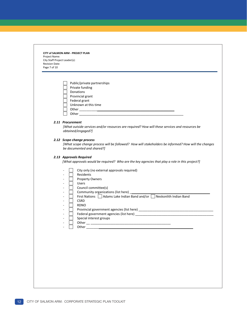**CITY of SALMON ARM - PROJECT PLAN** Project Name: City Staff Project Leader(s): Revision Date: Page 7 of 10

| Public/private partnerships |
|-----------------------------|
|                             |
| Private funding             |
| Donations                   |
| Provincial grant            |
| Federal grant               |
| Unknown at this time        |
| Other                       |
| Other                       |

#### *2.11 Procurement*

 *[What outside services and/or resources are required? How will these services and resources be obtained/engaged?]*

#### *2.12 Scope change process*

*[What scope change process will be followed? How will stakeholders be informed? How will the changes be documented and shared?]*

### *2.13 Approvals Required*

*[What approvals would be required? Who are the key agencies that play a role in this project?]* 

|  | City only (no external approvals required)                                 |
|--|----------------------------------------------------------------------------|
|  | Residents                                                                  |
|  | <b>Property Owners</b>                                                     |
|  | <b>Users</b>                                                               |
|  | Council committee(s)                                                       |
|  | Community organizations (list here)                                        |
|  | First Nations     Adams Lake Indian Band and/or     Neskonlith Indian Band |
|  | <b>CSRD</b>                                                                |
|  | <b>RDNO</b>                                                                |
|  | Provincial government agencies (list here)                                 |
|  | Federal government agencies (list here)                                    |
|  | Special interest groups                                                    |
|  | Other                                                                      |
|  | Other                                                                      |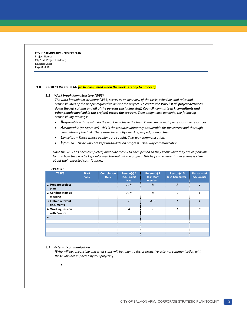**CITY of SALMON ARM - PROJECT PLAN** Project Name: City Staff Project Leader(s): Revision Date: Page 8 of 10

#### **3.0 PROJECT WORK PLAN** *(to be completed when the work is ready to proceed)*

#### *3.1 Work breakdown structure (WBS)*

*The work breakdown structure (WBS) serves as an overview of the tasks, schedule, and roles and responsibilities of the people required to deliver the project. To create the WBS list all project activities down the left column and all of the persons (including staff, Council, committee(s), consultants and other people involved in the project) across the top row. Then assign each person(s) the following responsibility rankings:*

- *Responsible – those who do the work to achieve the task. There can be multiple responsible resources.*
- *Accountable (or Approver) this is the resource ultimately answerable for the correct and thorough completion of the task. There must be exactly one 'A' specified for each task.*
- *Consulted – Those whose opinions are sought. Two-way communication.*
- *Informed – Those who are kept up-to-date on progress. One-way communication.*

*Once the WBS has been completed, distribute a copy to each person so they know what they are responsible for and how they will be kept informed throughout the project. This helps to ensure that everyone is clear about their expected contributions.* 

| <b>TASKS</b>                       | <b>Start</b><br><b>Date</b> | <b>Completion</b><br><b>Date</b> | Person(s) 1<br>(e.g. Project<br>Lead) | Person(s) 2<br>(e.g. Staff<br>member) | Person(s) 3<br>(e.g. Committee) | Person(s) 4<br>(e.g. Council) |
|------------------------------------|-----------------------------|----------------------------------|---------------------------------------|---------------------------------------|---------------------------------|-------------------------------|
| 1. Prepare project<br>plan         |                             |                                  | A, R                                  | $\overline{R}$                        | $\overline{R}$                  | $\epsilon$                    |
| 2. Conduct start up<br>meeting     |                             |                                  | A, R                                  | $\overline{R}$                        | $\epsilon$                      |                               |
| 3. Obtain relevant<br>documents    |                             |                                  | $\mathcal{C}$                         | A, R                                  |                                 |                               |
| 4. Working session<br>with Council |                             |                                  | A                                     |                                       |                                 | $\epsilon$                    |
| etc                                |                             |                                  |                                       |                                       |                                 |                               |
|                                    |                             |                                  |                                       |                                       |                                 |                               |
|                                    |                             |                                  |                                       |                                       |                                 |                               |
|                                    |                             |                                  |                                       |                                       |                                 |                               |
|                                    |                             |                                  |                                       |                                       |                                 |                               |

### *EXAMPLE*

#### *3.2 External communication*

 $\bullet$ 

*[Who will be responsible and* wh*at steps will be taken to foster proactive external communication with those who are impacted by this project?]*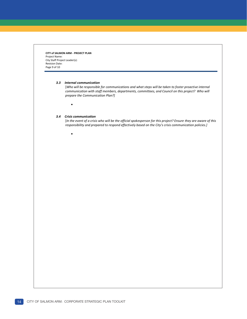**CITY of SALMON ARM - PROJECT PLAN** Project Name: City Staff Project Leader(s): Revision Date: Page 9 of 10

#### *3.3 Internal communication*

[*Who will be responsible for communications and what steps will be taken to foster proactive internal communication with staff members, departments, committees, and Council on this project? Who will prepare the Communication Plan?]*

#### *3.4 Crisis communication*

 $\bullet$ 

 $\bullet$ 

[*In the event of a crisis who will be the official spokesperson for this project? Ensure they are aware of this responsibility and prepared to respond effectively based on the City's crisis communication policies.]*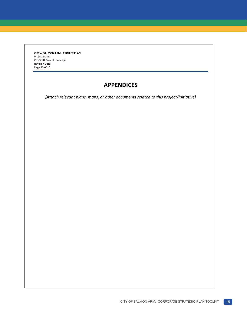**CITY of SALMON ARM - PROJECT PLAN** Project Name: City Staff Project Leader(s): Revision Date: Page 10 of 10

### **APPENDICES**

*[Attach relevant plans, maps, or other documents related to this project/initiative]*